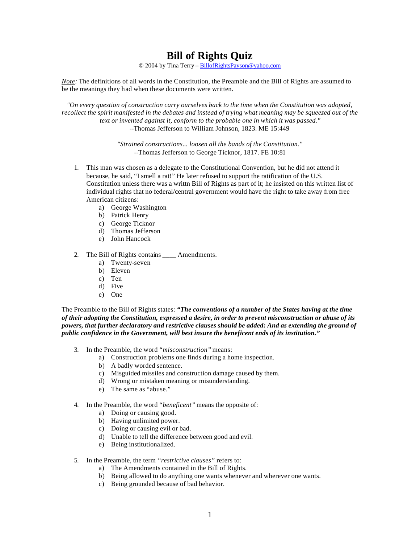# **Bill of Rights Quiz**

© 2004 by Tina Terry – BillofRightsPayson@yahoo.com

*Note:* The definitions of all words in the Constitution, the Preamble and the Bill of Rights are assumed to be the meanings they had when these documents were written.

*"On every question of construction carry ourselves back to the time when the Constitution was adopted, recollect the spirit manifested in the debates and instead of trying what meaning may be squeezed out of the text or invented against it, conform to the probable one in which it was passed."*  --Thomas Jefferson to William Johnson, 1823. ME 15:449

> *"Strained constructions... loosen all the bands of the Constitution."*  --Thomas Jefferson to George Ticknor, 1817. FE 10:81

- 1. This man was chosen as a delegate to the Constitutional Convention, but he did not attend it because, he said, "I smell a rat!" He later refused to support the ratification of the U.S. Constitution unless there was a writtn Bill of Rights as part of it; he insisted on this written list of individual rights that no federal/central government would have the right to take away from free American citizens:
	- a) George Washington
	- b) Patrick Henry
	- c) George Ticknor
	- d) Thomas Jefferson
	- e) John Hancock
- 2. The Bill of Rights contains \_\_\_\_ Amendments.
	- a) Twenty-seven
	- b) Eleven
	- c) Ten
	- d) Five
	- e) One

The Preamble to the Bill of Rights states: *"The conventions of a number of the States having at the time of their adopting the Constitution, expressed a desire, in order to prevent misconstruction or abuse of its powers, that further declaratory and restrictive clauses should be added: And as extending the ground of public confidence in the Government, will best insure the beneficent ends of its institution."*

- 3. In the Preamble, the word *"misconstruction"* means:
	- a) Construction problems one finds during a home inspection.
		- b) A badly worded sentence.
		- c) Misguided missiles and construction damage caused by them.
		- d) Wrong or mistaken meaning or misunderstanding.
		- e) The same as "abuse."
- 4. In the Preamble, the word *"beneficent"* means the opposite of:
	- a) Doing or causing good.
	- b) Having unlimited power.
	- c) Doing or causing evil or bad.
	- d) Unable to tell the difference between good and evil.
	- e) Being institutionalized.
- 5. In the Preamble, the term *"restrictive clauses"* refers to:
	- a) The Amendments contained in the Bill of Rights.
	- b) Being allowed to do anything one wants whenever and wherever one wants.
	- c) Being grounded because of bad behavior.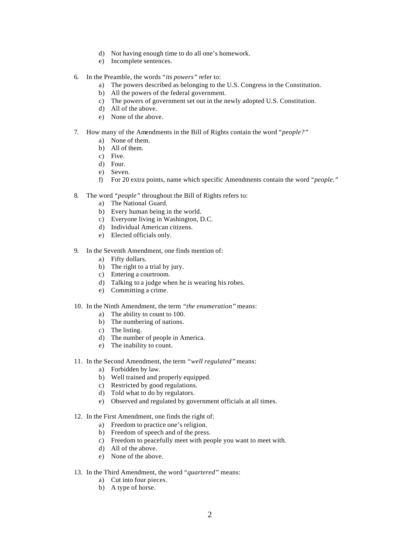- d) Not having enough time to do all one's homework.
- e) Incomplete sentences.
- 6. In the Preamble, the words *"its powers"* refer to:
	- a) The powers described as belonging to the U.S. Congress in the Constitution.
	- b) All the powers of the federal government.
	- c) The powers of government set out in the newly adopted U.S. Constitution.
	- d) All of the above.
	- e) None of the above.
- 7. How many of the Amendments in the Bill of Rights contain the word *"people?"*
	- a) None of them.
	- b) All of them.
	- c) Five.
	- d) Four.
	- e) Seven.
	- f) For 20 extra points, name which specific Amendments contain the word *"people."*
- 8. The word *"people"* throughout the Bill of Rights refers to:
	- a) The National Guard.
	- b) Every human being in the world.
	- c) Everyone living in Washington, D.C.
	- d) Individual American citizens.
	- e) Elected officials only.
- 9. In the Seventh Amendment, one finds mention of:
	- a) Fifty dollars.
	- b) The right to a trial by jury.
	- c) Entering a courtroom.
	- d) Talking to a judge when he is wearing his robes.
	- e) Committing a crime.

### 10. In the Ninth Amendment, the term *"the enumeration"* means:

- a) The ability to count to 100.
- b) The numbering of nations.
- c) The listing.
- d) The number of people in America.
- e) The inability to count.
- 11. In the Second Amendment, the term *"well regulated"* means:
	- a) Forbidden by law.
	- b) Well trained and properly equipped.
	- c) Restricted by good regulations.
	- d) Told what to do by regulators.
	- e) Observed and regulated by government officials at all times.
- 12. In the First Amendment, one finds the right of:
	- a) Freedom to practice one's religion.
	- b) Freedom of speech and of the press.
	- c) Freedom to peacefully meet with people you want to meet with.
	- d) All of the above.
	- e) None of the above.
- 13. In the Third Amendment, the word *"quartered"* means:
	- a) Cut into four pieces.
	- b) A type of horse.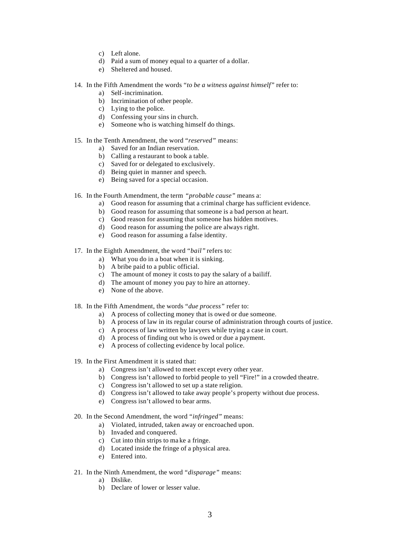- c) Left alone.
- d) Paid a sum of money equal to a quarter of a dollar.
- e) Sheltered and housed.
- 14. In the Fifth Amendment the words *"to be a witness against himself"* refer to:
	- a) Self-incrimination.
	- b) Incrimination of other people.
	- c) Lying to the police.
	- d) Confessing your sins in church.
	- e) Someone who is watching himself do things.

#### 15. In the Tenth Amendment, the word *"reserved"* means:

- a) Saved for an Indian reservation.
- b) Calling a restaurant to book a table.
- c) Saved for or delegated to exclusively.
- d) Being quiet in manner and speech.
- e) Being saved for a special occasion.
- 16. In the Fourth Amendment, the term *"probable cause"* means a:
	- a) Good reason for assuming that a criminal charge has sufficient evidence.
	- b) Good reason for assuming that someone is a bad person at heart.
	- c) Good reason for assuming that someone has hidden motives.
	- d) Good reason for assuming the police are always right.
	- e) Good reason for assuming a false identity.
- 17. In the Eighth Amendment, the word *"bail"* refers to:
	- a) What you do in a boat when it is sinking.
	- b) A bribe paid to a public official.
	- c) The amount of money it costs to pay the salary of a bailiff.
	- d) The amount of money you pay to hire an attorney.
	- e) None of the above.
- 18. In the Fifth Amendment, the words *"due process"* refer to:
	- a) A process of collecting money that is owed or due someone.
	- b) A process of law in its regular course of administration through courts of justice.
	- c) A process of law written by lawyers while trying a case in court.
	- d) A process of finding out who is owed or due a payment.
	- e) A process of collecting evidence by local police.
- 19. In the First Amendment it is stated that:
	- a) Congress isn't allowed to meet except every other year.
	- b) Congress isn't allowed to forbid people to yell "Fire!" in a crowded theatre.
	- c) Congress isn't allowed to set up a state religion.
	- d) Congress isn't allowed to take away people's property without due process.
	- e) Congress isn't allowed to bear arms.
- 20. In the Second Amendment, the word *"infringed"* means:
	- a) Violated, intruded, taken away or encroached upon.
	- b) Invaded and conquered.
	- c) Cut into thin strips to ma ke a fringe.
	- d) Located inside the fringe of a physical area.
	- e) Entered into.
- 21. In the Ninth Amendment, the word *"disparage"* means:
	- a) Dislike.
	- b) Declare of lower or lesser value.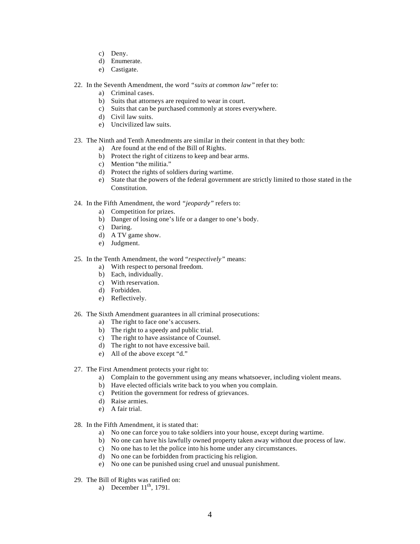- c) Deny.
- d) Enumerate.
- e) Castigate.
- 22. In the Seventh Amendment, the word *"suits at common law"* refer to:
	- a) Criminal cases.
	- b) Suits that attorneys are required to wear in court.
	- c) Suits that can be purchased commonly at stores everywhere.
	- d) Civil law suits.
	- e) Uncivilized law suits.
- 23. The Ninth and Tenth Amendments are similar in their content in that they both:
	- a) Are found at the end of the Bill of Rights.
	- b) Protect the right of citizens to keep and bear arms.
	- c) Mention "the militia."
	- d) Protect the rights of soldiers during wartime.
	- e) State that the powers of the federal government are strictly limited to those stated in the Constitution.
- 24. In the Fifth Amendment, the word *"jeopardy"* refers to:
	- a) Competition for prizes.
	- b) Danger of losing one's life or a danger to one's body.
	- c) Daring.
	- d) A TV game show.
	- e) Judgment.
- 25. In the Tenth Amendment, the word *"respectively"* means:
	- a) With respect to personal freedom.
	- b) Each, individually.
	- c) With reservation.
	- d) Forbidden.
	- e) Reflectively.

### 26. The Sixth Amendment guarantees in all criminal prosecutions:

- a) The right to face one's accusers.
- b) The right to a speedy and public trial.
- c) The right to have assistance of Counsel.
- d) The right to not have excessive bail.
- e) All of the above except "d."

#### 27. The First Amendment protects your right to:

- a) Complain to the government using any means whatsoever, including violent means.
- b) Have elected officials write back to you when you complain.
- c) Petition the government for redress of grievances.
- d) Raise armies.
- e) A fair trial.
- 28. In the Fifth Amendment, it is stated that:
	- a) No one can force you to take soldiers into your house, except during wartime.
	- b) No one can have his lawfully owned property taken away without due process of law.
	- c) No one has to let the police into his home under any circumstances.
	- d) No one can be forbidden from practicing his religion.
	- e) No one can be punished using cruel and unusual punishment.
- 29. The Bill of Rights was ratified on:
	- a) December  $11<sup>th</sup>$ , 1791.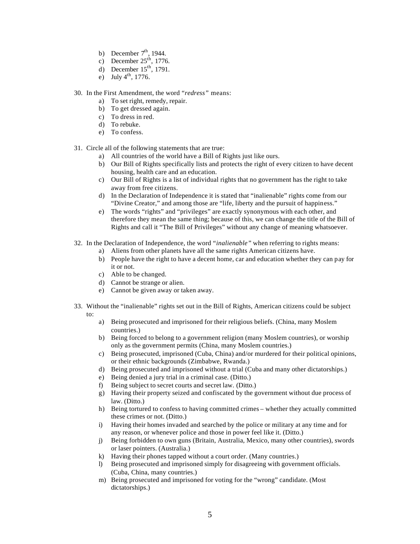- b) December  $7<sup>th</sup>$ , 1944.
- c) December  $25<sup>th</sup>$ , 1776.
- d) December  $15<sup>th</sup>$ , 1791.
- e) July  $4^{th}$ , 1776.
- 30. In the First Amendment, the word *"redress"* means:
	- a) To set right, remedy, repair.
	- b) To get dressed again.
	- c) To dress in red.
	- d) To rebuke.
	- e) To confess.
- 31. Circle all of the following statements that are true:
	- a) All countries of the world have a Bill of Rights just like ours.
	- b) Our Bill of Rights specifically lists and protects the right of every citizen to have decent housing, health care and an education.
	- c) Our Bill of Rights is a list of individual rights that no government has the right to take away from free citizens.
	- d) In the Declaration of Independence it is stated that "inalienable" rights come from our "Divine Creator," and among those are "life, liberty and the pursuit of happiness."
	- e) The words "rights" and "privileges" are exactly synonymous with each other, and therefore they mean the same thing; because of this, we can change the title of the Bill of Rights and call it "The Bill of Privileges" without any change of meaning whatsoever.
- 32. In the Declaration of Independence, the word *"inalienable"* when referring to rights means:
	- a) Aliens from other planets have all the same rights American citizens have.
	- b) People have the right to have a decent home, car and education whether they can pay for it or not.
	- c) Able to be changed.
	- d) Cannot be strange or alien.
	- e) Cannot be given away or taken away.
- 33. Without the "inalienable" rights set out in the Bill of Rights, American citizens could be subject to:
	- a) Being prosecuted and imprisoned for their religious beliefs. (China, many Moslem countries.)
	- b) Being forced to belong to a government religion (many Moslem countries), or worship only as the government permits (China, many Moslem countries.)
	- c) Being prosecuted, imprisoned (Cuba, China) and/or murdered for their political opinions, or their ethnic backgrounds (Zimbabwe, Rwanda.)
	- d) Being prosecuted and imprisoned without a trial (Cuba and many other dictatorships.)
	- e) Being denied a jury trial in a criminal case. (Ditto.)
	- f) Being subject to secret courts and secret law. (Ditto.)
	- g) Having their property seized and confiscated by the government without due process of law. (Ditto.)
	- h) Being tortured to confess to having committed crimes whether they actually committed these crimes or not. (Ditto.)
	- i) Having their homes invaded and searched by the police or military at any time and for any reason, or whenever police and those in power feel like it. (Ditto.)
	- j) Being forbidden to own guns (Britain, Australia, Mexico, many other countries), swords or laser pointers. (Australia.)
	- k) Having their phones tapped without a court order. (Many countries.)
	- l) Being prosecuted and imprisoned simply for disagreeing with government officials. (Cuba, China, many countries.)
	- m) Being prosecuted and imprisoned for voting for the "wrong" candidate. (Most dictatorships.)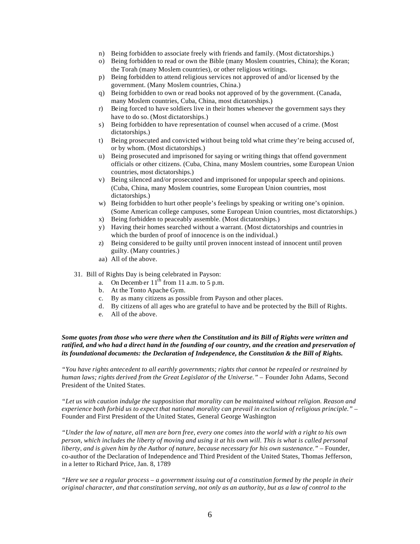- n) Being forbidden to associate freely with friends and family. (Most dictatorships.)
- o) Being forbidden to read or own the Bible (many Moslem countries, China); the Koran; the Torah (many Moslem countries), or other religious writings.
- p) Being forbidden to attend religious services not approved of and/or licensed by the government. (Many Moslem countries, China.)
- q) Being forbidden to own or read books not approved of by the government. (Canada, many Moslem countries, Cuba, China, most dictatorships.)
- r) Being forced to have soldiers live in their homes whenever the government says they have to do so. (Most dictatorships.)
- s) Being forbidden to have representation of counsel when accused of a crime. (Most dictatorships.)
- t) Being prosecuted and convicted without being told what crime they're being accused of, or by whom. (Most dictatorships.)
- u) Being prosecuted and imprisoned for saying or writing things that offend government officials or other citizens. (Cuba, China, many Moslem countries, some European Union countries, most dictatorships.)
- v) Being silenced and/or prosecuted and imprisoned for unpopular speech and opinions. (Cuba, China, many Moslem countries, some European Union countries, most dictatorships.)
- w) Being forbidden to hurt other people's feelings by speaking or writing one's opinion. (Some American college campuses, some European Union countries, most dictatorships.)
- x) Being forbidden to peaceably assemble. (Most dictatorships.)
- y) Having their homes searched without a warrant. (Most dictatorships and countries in which the burden of proof of innocence is on the individual.)
- z) Being considered to be guilty until proven innocent instead of innocent until proven guilty. (Many countries.)
- aa) All of the above.
- 31. Bill of Rights Day is being celebrated in Payson:
	- a. On December  $11<sup>th</sup>$  from 11 a.m. to 5 p.m.
	- b. At the Tonto Apache Gym.
	- c. By as many citizens as possible from Payson and other places.
	- d. By citizens of all ages who are grateful to have and be protected by the Bill of Rights.
	- e. All of the above.

## *Some quotes from those who were there when the Constitution and its Bill of Rights were written and ratified, and who had a direct hand in the founding of our country, and the creation and preservation of its foundational documents: the Declaration of Independence, the Constitution & the Bill of Rights.*

*"You have rights antecedent to all earthly governments; rights that cannot be repealed or restrained by human laws; rights derived from the Great Legislator of the Universe." –* Founder John Adams, Second President of the United States.

*"Let us with caution indulge the supposition that morality can be maintained without religion. Reason and experience both forbid us to expect that national morality can prevail in exclusion of religious principle."* – Founder and First President of the United States, General George Washington

*"Under the law of nature, all men are born free, every one comes into the world with a right to his own person, which includes the liberty of moving and using it at his own will. This is what is called personal liberty, and is given him by the Author of nature, because necessary for his own sustenance."* – Founder, co-author of the Declaration of Independence and Third President of the United States, Thomas Jefferson, in a letter to Richard Price, Jan. 8, 1789

*"Here we see a regular process – a government issuing out of a constitution formed by the people in their original character, and that constitution serving, not only as an authority, but as a law of control to the*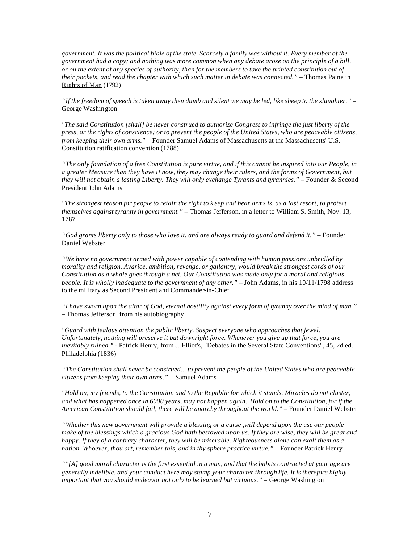*government. It was the political bible of the state. Scarcely a family was without it. Every member of the government had a copy; and nothing was more common when any debate arose on the principle of a bill, or on the extent of any species of authority, than for the members to take the printed constitution out of their pockets, and read the chapter with which such matter in debate was connected." –* Thomas Paine in Rights of Man (1792)

*"If the freedom of speech is taken away then dumb and silent we may be led, like sheep to the slaughter."* – George Washington

*"The said Constitution [shall] be never construed to authorize Congress to infringe the just liberty of the press, or the rights of conscience; or to prevent the people of the United States, who are peaceable citizens, from keeping their own arms."* – Founder Samuel Adams of Massachusetts at the Massachusetts' U.S. Constitution ratification convention (1788)

*"The only foundation of a free Constitution is pure virtue, and if this cannot be inspired into our People, in a greater Measure than they have it now, they may change their rulers, and the forms of Government, but they will not obtain a lasting Liberty. They will only exchange Tyrants and tyrannies." –* Founder & Second President John Adams

*"The strongest reason for people to retain the right to k eep and bear arms is, as a last resort, to protect themselves against tyranny in government."* – Thomas Jefferson, in a letter to William S. Smith, Nov. 13, 1787

*"God grants liberty only to those who love it, and are always ready to guard and defend it."* – Founder Daniel Webster

*"We have no government armed with power capable of contending with human passions unbridled by morality and religion. Avarice, ambition, revenge, or gallantry, would break the strongest cords of our Constitution as a whale goes through a net. Our Constitution was made only for a moral and religious people. It is wholly inadequate to the government of any other." –* John Adams, in his 10/11/1798 address to the military as Second President and Commander-in-Chief

*"I have sworn upon the altar of God, eternal hostility against every form of tyranny over the mind of man."* – Thomas Jefferson, from his autobiography

*"Guard with jealous attention the public liberty. Suspect everyone who approaches that jewel. Unfortunately, nothing will preserve it but downright force. Whenever you give up that force, you are inevitably ruined."* - Patrick Henry, from J. Elliot's, "Debates in the Several State Conventions", 45, 2d ed. Philadelphia (1836)

*"The Constitution shall never be construed... to prevent the people of the United States who are peaceable citizens from keeping their own arms."* – Samuel Adams

*"Hold on, my friends, to the Constitution and to the Republic for which it stands. Miracles do not cluster, and what has happened once in 6000 years, may not happen again. Hold on to the Constitution, for if the American Constitution should fail, there will be anarchy throughout the world." –* Founder Daniel Webster

*"Whether this new government will provide a blessing or a curse ,will depend upon the use our people make of the blessings which a gracious God hath bestowed upon us. If they are wise, they will be great and happy. If they of a contrary character, they will be miserable. Righteousness alone can exalt them as a nation. Whoever, thou art, remember this, and in thy sphere practice virtue." –* Founder Patrick Henry

*""[A] good moral character is the first essential in a man, and that the habits contracted at your age are generally indelible, and your conduct here may stamp your character through life. It is therefore highly important that you should endeavor not only to be learned but virtuous."* – George Washington